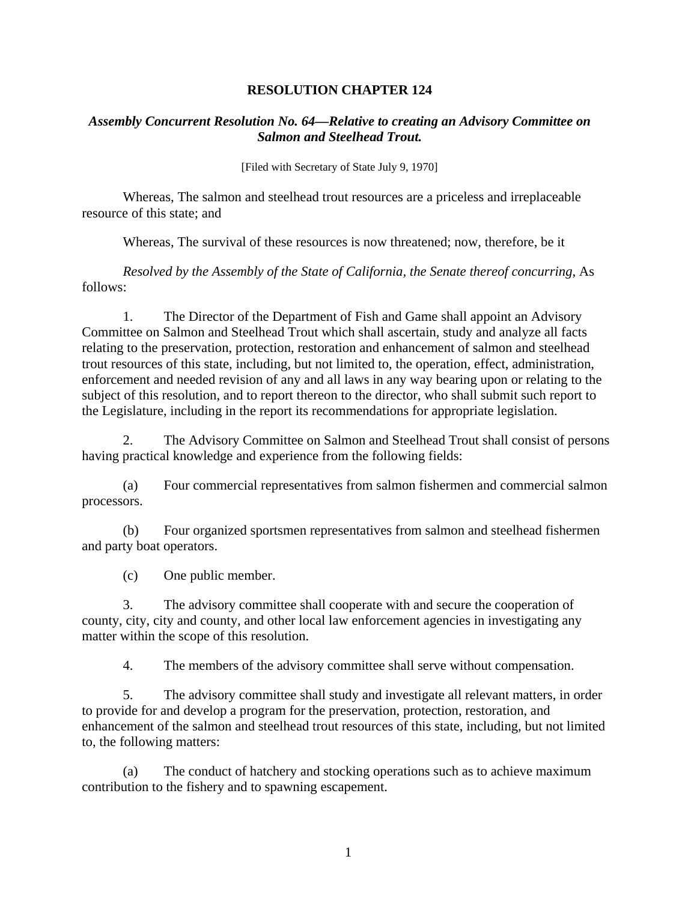## **RESOLUTION CHAPTER 124**

## *Assembly Concurrent Resolution No. 64—Relative to creating an Advisory Committee on Salmon and Steelhead Trout.*

[Filed with Secretary of State July 9, 1970]

 Whereas, The salmon and steelhead trout resources are a priceless and irreplaceable resource of this state; and

Whereas, The survival of these resources is now threatened; now, therefore, be it

*Resolved by the Assembly of the State of California, the Senate thereof concurring, As* follows:

1. The Director of the Department of Fish and Game shall appoint an Advisory Committee on Salmon and Steelhead Trout which shall ascertain, study and analyze all facts relating to the preservation, protection, restoration and enhancement of salmon and steelhead trout resources of this state, including, but not limited to, the operation, effect, administration, enforcement and needed revision of any and all laws in any way bearing upon or relating to the subject of this resolution, and to report thereon to the director, who shall submit such report to the Legislature, including in the report its recommendations for appropriate legislation.

2. The Advisory Committee on Salmon and Steelhead Trout shall consist of persons having practical knowledge and experience from the following fields:

(a) Four commercial representatives from salmon fishermen and commercial salmon processors.

(b) Four organized sportsmen representatives from salmon and steelhead fishermen and party boat operators.

(c) One public member.

3. The advisory committee shall cooperate with and secure the cooperation of county, city, city and county, and other local law enforcement agencies in investigating any matter within the scope of this resolution.

4. The members of the advisory committee shall serve without compensation.

5. The advisory committee shall study and investigate all relevant matters, in order to provide for and develop a program for the preservation, protection, restoration, and enhancement of the salmon and steelhead trout resources of this state, including, but not limited to, the following matters:

(a) The conduct of hatchery and stocking operations such as to achieve maximum contribution to the fishery and to spawning escapement.

1